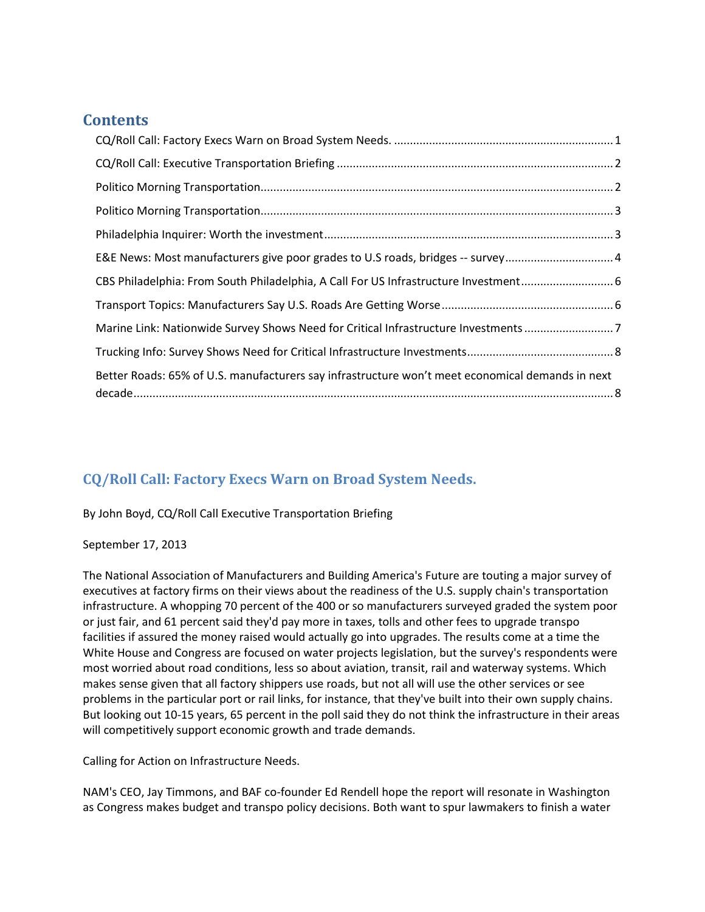### **Contents**

| E&E News: Most manufacturers give poor grades to U.S roads, bridges -- survey4                   |  |
|--------------------------------------------------------------------------------------------------|--|
| CBS Philadelphia: From South Philadelphia, A Call For US Infrastructure Investment 6             |  |
|                                                                                                  |  |
| Marine Link: Nationwide Survey Shows Need for Critical Infrastructure Investments 7              |  |
|                                                                                                  |  |
| Better Roads: 65% of U.S. manufacturers say infrastructure won't meet economical demands in next |  |

# <span id="page-0-0"></span>**CQ/Roll Call: Factory Execs Warn on Broad System Needs.**

### By John Boyd, CQ/Roll Call Executive Transportation Briefing

### September 17, 2013

The National Association of Manufacturers and Building America's Future are touting a major survey of executives at factory firms on their views about the readiness of the U.S. supply chain's transportation infrastructure. A whopping 70 percent of the 400 or so manufacturers surveyed graded the system poor or just fair, and 61 percent said they'd pay more in taxes, tolls and other fees to upgrade transpo facilities if assured the money raised would actually go into upgrades. The results come at a time the White House and Congress are focused on water projects legislation, but the survey's respondents were most worried about road conditions, less so about aviation, transit, rail and waterway systems. Which makes sense given that all factory shippers use roads, but not all will use the other services or see problems in the particular port or rail links, for instance, that they've built into their own supply chains. But looking out 10-15 years, 65 percent in the poll said they do not think the infrastructure in their areas will competitively support economic growth and trade demands.

Calling for Action on Infrastructure Needs.

NAM's CEO, Jay Timmons, and BAF co-founder Ed Rendell hope the report will resonate in Washington as Congress makes budget and transpo policy decisions. Both want to spur lawmakers to finish a water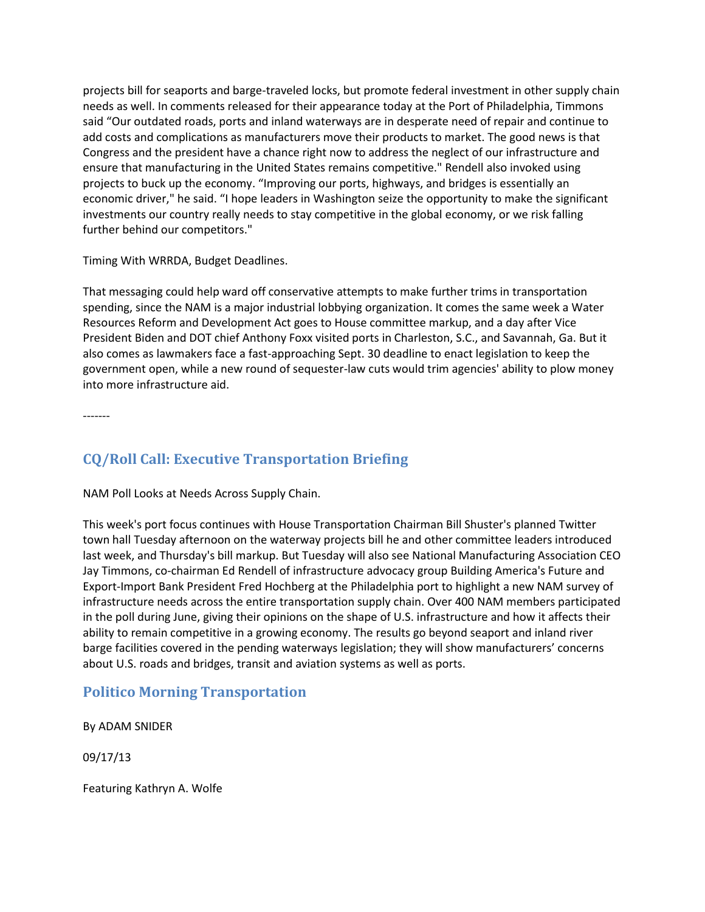projects bill for seaports and barge-traveled locks, but promote federal investment in other supply chain needs as well. In comments released for their appearance today at the Port of Philadelphia, Timmons said "Our outdated roads, ports and inland waterways are in desperate need of repair and continue to add costs and complications as manufacturers move their products to market. The good news is that Congress and the president have a chance right now to address the neglect of our infrastructure and ensure that manufacturing in the United States remains competitive." Rendell also invoked using projects to buck up the economy. "Improving our ports, highways, and bridges is essentially an economic driver," he said. "I hope leaders in Washington seize the opportunity to make the significant investments our country really needs to stay competitive in the global economy, or we risk falling further behind our competitors."

Timing With WRRDA, Budget Deadlines.

That messaging could help ward off conservative attempts to make further trims in transportation spending, since the NAM is a major industrial lobbying organization. It comes the same week a Water Resources Reform and Development Act goes to House committee markup, and a day after Vice President Biden and DOT chief Anthony Foxx visited ports in Charleston, S.C., and Savannah, Ga. But it also comes as lawmakers face a fast-approaching Sept. 30 deadline to enact legislation to keep the government open, while a new round of sequester-law cuts would trim agencies' ability to plow money into more infrastructure aid.

-------

## <span id="page-1-0"></span>**CQ/Roll Call: Executive Transportation Briefing**

NAM Poll Looks at Needs Across Supply Chain.

This week's port focus continues with House Transportation Chairman Bill Shuster's planned Twitter town hall Tuesday afternoon on the waterway projects bill he and other committee leaders introduced last week, and Thursday's bill markup. But Tuesday will also see National Manufacturing Association CEO Jay Timmons, co-chairman Ed Rendell of infrastructure advocacy group Building America's Future and Export-Import Bank President Fred Hochberg at the Philadelphia port to highlight a new NAM survey of infrastructure needs across the entire transportation supply chain. Over 400 NAM members participated in the poll during June, giving their opinions on the shape of U.S. infrastructure and how it affects their ability to remain competitive in a growing economy. The results go beyond seaport and inland river barge facilities covered in the pending waterways legislation; they will show manufacturers' concerns about U.S. roads and bridges, transit and aviation systems as well as ports.

### <span id="page-1-1"></span>**Politico Morning Transportation**

By ADAM SNIDER

09/17/13

Featuring Kathryn A. Wolfe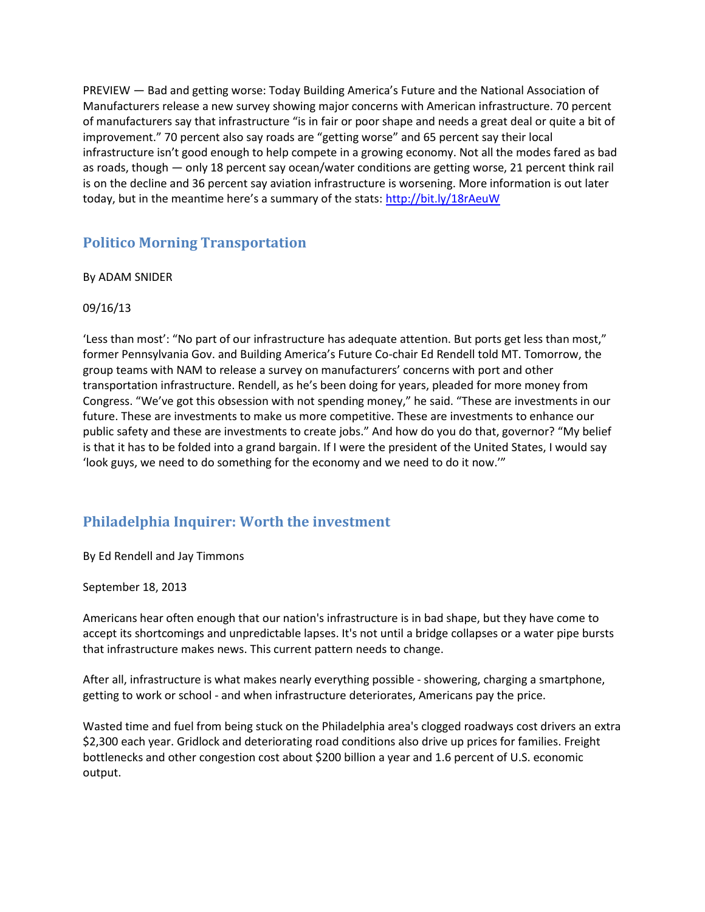PREVIEW — Bad and getting worse: Today Building America's Future and the National Association of Manufacturers release a new survey showing major concerns with American infrastructure. 70 percent of manufacturers say that infrastructure "is in fair or poor shape and needs a great deal or quite a bit of improvement." 70 percent also say roads are "getting worse" and 65 percent say their local infrastructure isn't good enough to help compete in a growing economy. Not all the modes fared as bad as roads, though — only 18 percent say ocean/water conditions are getting worse, 21 percent think rail is on the decline and 36 percent say aviation infrastructure is worsening. More information is out later today, but in the meantime here's a summary of the stats: <http://bit.ly/18rAeuW>

### <span id="page-2-0"></span>**Politico Morning Transportation**

#### By ADAM SNIDER

#### 09/16/13

'Less than most': "No part of our infrastructure has adequate attention. But ports get less than most," former Pennsylvania Gov. and Building America's Future Co-chair Ed Rendell told MT. Tomorrow, the group teams with NAM to release a survey on manufacturers' concerns with port and other transportation infrastructure. Rendell, as he's been doing for years, pleaded for more money from Congress. "We've got this obsession with not spending money," he said. "These are investments in our future. These are investments to make us more competitive. These are investments to enhance our public safety and these are investments to create jobs." And how do you do that, governor? "My belief is that it has to be folded into a grand bargain. If I were the president of the United States, I would say 'look guys, we need to do something for the economy and we need to do it now.'"

### <span id="page-2-1"></span>**Philadelphia Inquirer: Worth the investment**

By Ed Rendell and Jay Timmons

September 18, 2013

Americans hear often enough that our nation's infrastructure is in bad shape, but they have come to accept its shortcomings and unpredictable lapses. It's not until a bridge collapses or a water pipe bursts that infrastructure makes news. This current pattern needs to change.

After all, infrastructure is what makes nearly everything possible - showering, charging a smartphone, getting to work or school - and when infrastructure deteriorates, Americans pay the price.

Wasted time and fuel from being stuck on the Philadelphia area's clogged roadways cost drivers an extra \$2,300 each year. Gridlock and deteriorating road conditions also drive up prices for families. Freight bottlenecks and other congestion cost about \$200 billion a year and 1.6 percent of U.S. economic output.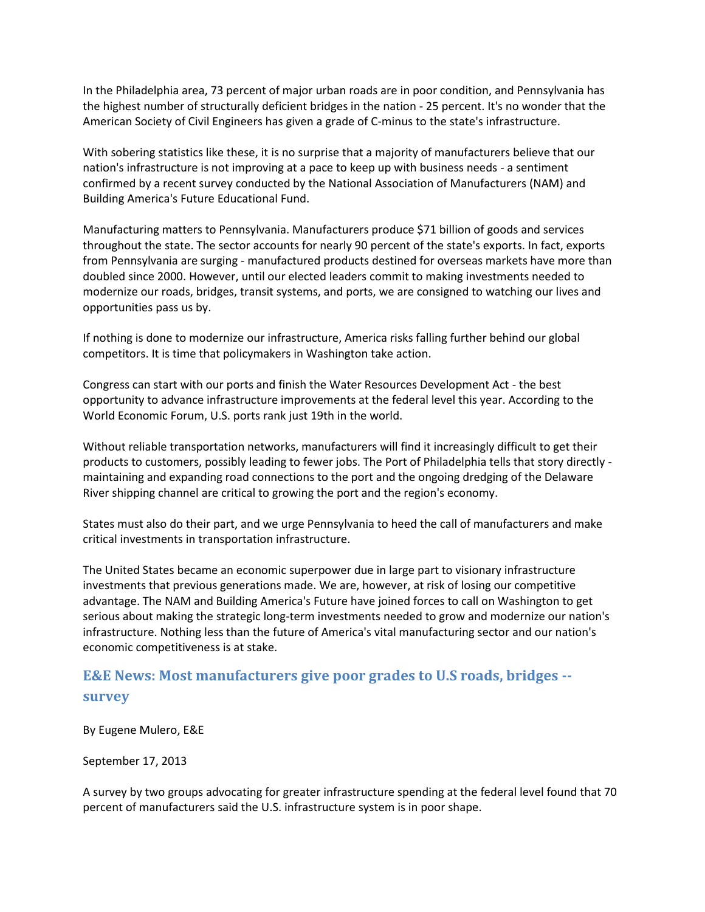In the Philadelphia area, 73 percent of major urban roads are in poor condition, and Pennsylvania has the highest number of structurally deficient bridges in the nation - 25 percent. It's no wonder that the American Society of Civil Engineers has given a grade of C-minus to the state's infrastructure.

With sobering statistics like these, it is no surprise that a majority of manufacturers believe that our nation's infrastructure is not improving at a pace to keep up with business needs - a sentiment confirmed by a recent survey conducted by the National Association of Manufacturers (NAM) and Building America's Future Educational Fund.

Manufacturing matters to Pennsylvania. Manufacturers produce \$71 billion of goods and services throughout the state. The sector accounts for nearly 90 percent of the state's exports. In fact, exports from Pennsylvania are surging - manufactured products destined for overseas markets have more than doubled since 2000. However, until our elected leaders commit to making investments needed to modernize our roads, bridges, transit systems, and ports, we are consigned to watching our lives and opportunities pass us by.

If nothing is done to modernize our infrastructure, America risks falling further behind our global competitors. It is time that policymakers in Washington take action.

Congress can start with our ports and finish the Water Resources Development Act - the best opportunity to advance infrastructure improvements at the federal level this year. According to the World Economic Forum, U.S. ports rank just 19th in the world.

Without reliable transportation networks, manufacturers will find it increasingly difficult to get their products to customers, possibly leading to fewer jobs. The Port of Philadelphia tells that story directly maintaining and expanding road connections to the port and the ongoing dredging of the Delaware River shipping channel are critical to growing the port and the region's economy.

States must also do their part, and we urge Pennsylvania to heed the call of manufacturers and make critical investments in transportation infrastructure.

The United States became an economic superpower due in large part to visionary infrastructure investments that previous generations made. We are, however, at risk of losing our competitive advantage. The NAM and Building America's Future have joined forces to call on Washington to get serious about making the strategic long-term investments needed to grow and modernize our nation's infrastructure. Nothing less than the future of America's vital manufacturing sector and our nation's economic competitiveness is at stake.

## <span id="page-3-0"></span>**E&E News: Most manufacturers give poor grades to U.S roads, bridges - survey**

By Eugene Mulero, E&E

September 17, 2013

A survey by two groups advocating for greater infrastructure spending at the federal level found that 70 percent of manufacturers said the U.S. infrastructure system is in poor shape.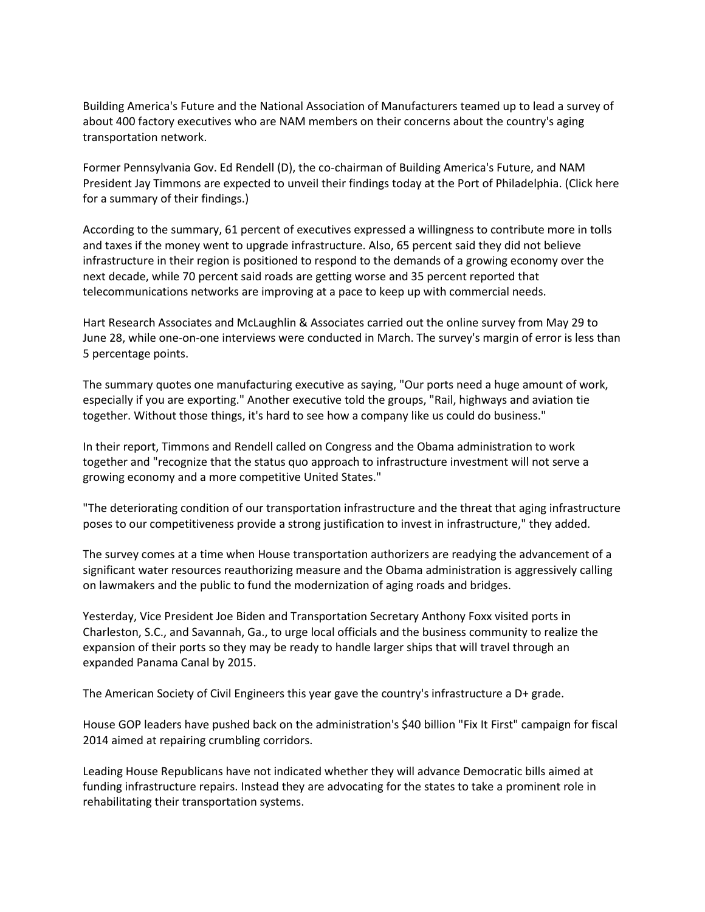Building America's Future and the National Association of Manufacturers teamed up to lead a survey of about 400 factory executives who are NAM members on their concerns about the country's aging transportation network.

Former Pennsylvania Gov. Ed Rendell (D), the co-chairman of Building America's Future, and NAM President Jay Timmons are expected to unveil their findings today at the Port of Philadelphia. (Click here for a summary of their findings.)

According to the summary, 61 percent of executives expressed a willingness to contribute more in tolls and taxes if the money went to upgrade infrastructure. Also, 65 percent said they did not believe infrastructure in their region is positioned to respond to the demands of a growing economy over the next decade, while 70 percent said roads are getting worse and 35 percent reported that telecommunications networks are improving at a pace to keep up with commercial needs.

Hart Research Associates and McLaughlin & Associates carried out the online survey from May 29 to June 28, while one-on-one interviews were conducted in March. The survey's margin of error is less than 5 percentage points.

The summary quotes one manufacturing executive as saying, "Our ports need a huge amount of work, especially if you are exporting." Another executive told the groups, "Rail, highways and aviation tie together. Without those things, it's hard to see how a company like us could do business."

In their report, Timmons and Rendell called on Congress and the Obama administration to work together and "recognize that the status quo approach to infrastructure investment will not serve a growing economy and a more competitive United States."

"The deteriorating condition of our transportation infrastructure and the threat that aging infrastructure poses to our competitiveness provide a strong justification to invest in infrastructure," they added.

The survey comes at a time when House transportation authorizers are readying the advancement of a significant water resources reauthorizing measure and the Obama administration is aggressively calling on lawmakers and the public to fund the modernization of aging roads and bridges.

Yesterday, Vice President Joe Biden and Transportation Secretary Anthony Foxx visited ports in Charleston, S.C., and Savannah, Ga., to urge local officials and the business community to realize the expansion of their ports so they may be ready to handle larger ships that will travel through an expanded Panama Canal by 2015.

The American Society of Civil Engineers this year gave the country's infrastructure a D+ grade.

House GOP leaders have pushed back on the administration's \$40 billion "Fix It First" campaign for fiscal 2014 aimed at repairing crumbling corridors.

Leading House Republicans have not indicated whether they will advance Democratic bills aimed at funding infrastructure repairs. Instead they are advocating for the states to take a prominent role in rehabilitating their transportation systems.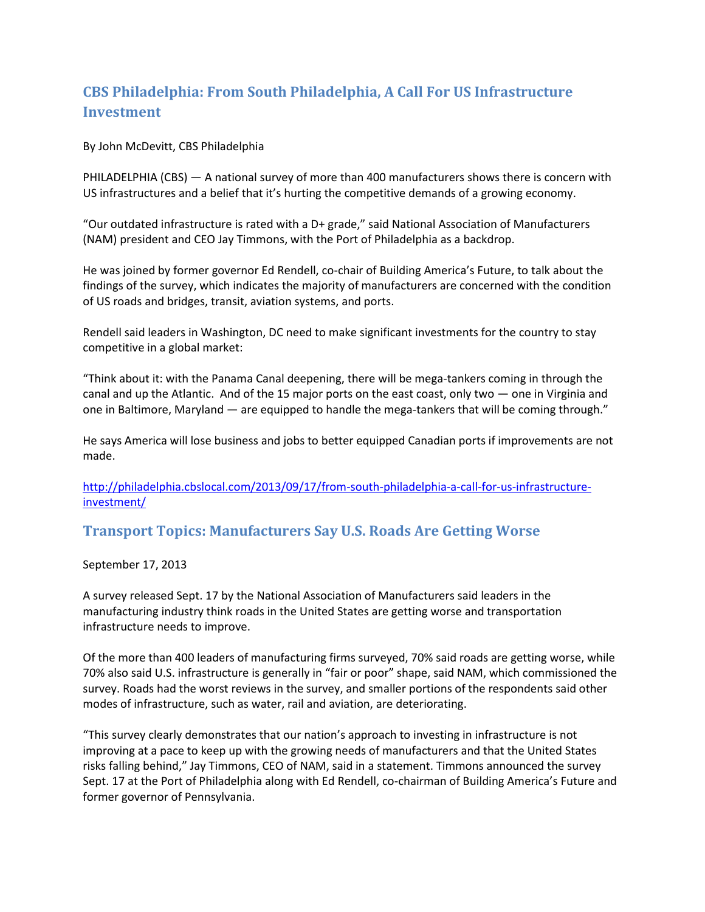# <span id="page-5-0"></span>**CBS Philadelphia: From South Philadelphia, A Call For US Infrastructure Investment**

By John McDevitt, CBS Philadelphia

PHILADELPHIA (CBS) — A national survey of more than 400 manufacturers shows there is concern with US infrastructures and a belief that it's hurting the competitive demands of a growing economy.

"Our outdated infrastructure is rated with a D+ grade," said National Association of Manufacturers (NAM) president and CEO Jay Timmons, with the Port of Philadelphia as a backdrop.

He was joined by former governor Ed Rendell, co-chair of Building America's Future, to talk about the findings of the survey, which indicates the majority of manufacturers are concerned with the condition of US roads and bridges, transit, aviation systems, and ports.

Rendell said leaders in Washington, DC need to make significant investments for the country to stay competitive in a global market:

"Think about it: with the Panama Canal deepening, there will be mega-tankers coming in through the canal and up the Atlantic. And of the 15 major ports on the east coast, only two — one in Virginia and one in Baltimore, Maryland — are equipped to handle the mega-tankers that will be coming through."

He says America will lose business and jobs to better equipped Canadian ports if improvements are not made.

[http://philadelphia.cbslocal.com/2013/09/17/from-south-philadelphia-a-call-for-us-infrastructure](http://philadelphia.cbslocal.com/2013/09/17/from-south-philadelphia-a-call-for-us-infrastructure-investment/)[investment/](http://philadelphia.cbslocal.com/2013/09/17/from-south-philadelphia-a-call-for-us-infrastructure-investment/)

<span id="page-5-1"></span>**Transport Topics: Manufacturers Say U.S. Roads Are Getting Worse**

September 17, 2013

A survey released Sept. 17 by the National Association of Manufacturers said leaders in the manufacturing industry think roads in the United States are getting worse and transportation infrastructure needs to improve.

Of the more than 400 leaders of manufacturing firms surveyed, 70% said roads are getting worse, while 70% also said U.S. infrastructure is generally in "fair or poor" shape, said NAM, which commissioned the survey. Roads had the worst reviews in the survey, and smaller portions of the respondents said other modes of infrastructure, such as water, rail and aviation, are deteriorating.

"This survey clearly demonstrates that our nation's approach to investing in infrastructure is not improving at a pace to keep up with the growing needs of manufacturers and that the United States risks falling behind," Jay Timmons, CEO of NAM, said in a statement. Timmons announced the survey Sept. 17 at the Port of Philadelphia along with Ed Rendell, co-chairman of Building America's Future and former governor of Pennsylvania.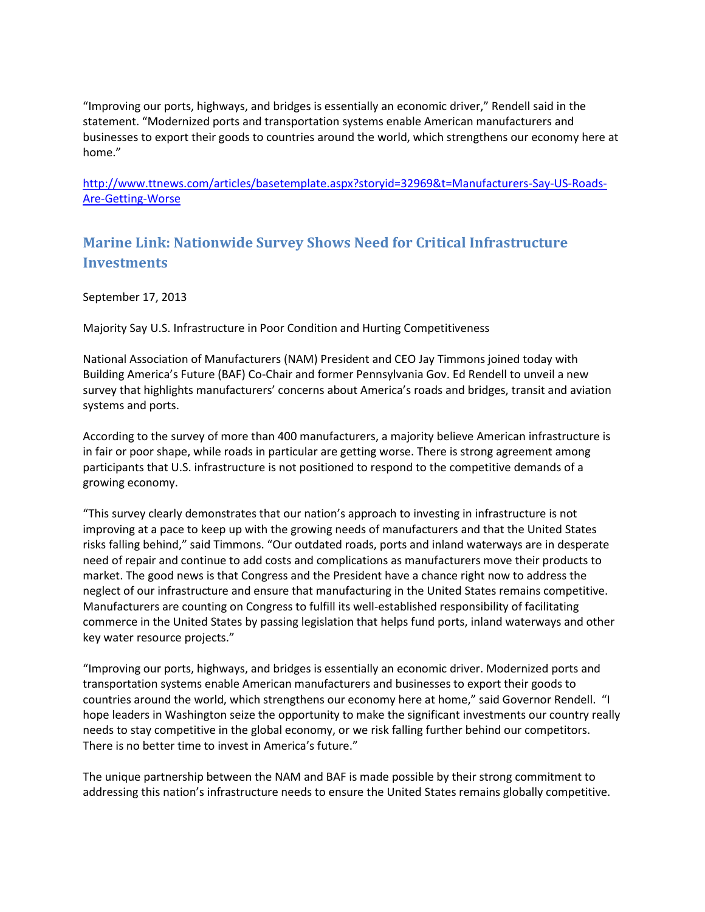"Improving our ports, highways, and bridges is essentially an economic driver," Rendell said in the statement. "Modernized ports and transportation systems enable American manufacturers and businesses to export their goods to countries around the world, which strengthens our economy here at home."

[http://www.ttnews.com/articles/basetemplate.aspx?storyid=32969&t=Manufacturers-Say-US-Roads-](http://www.ttnews.com/articles/basetemplate.aspx?storyid=32969&t=Manufacturers-Say-US-Roads-Are-Getting-Worse)[Are-Getting-Worse](http://www.ttnews.com/articles/basetemplate.aspx?storyid=32969&t=Manufacturers-Say-US-Roads-Are-Getting-Worse)

## <span id="page-6-0"></span>**Marine Link: Nationwide Survey Shows Need for Critical Infrastructure Investments**

September 17, 2013

Majority Say U.S. Infrastructure in Poor Condition and Hurting Competitiveness

National Association of Manufacturers (NAM) President and CEO Jay Timmons joined today with Building America's Future (BAF) Co-Chair and former Pennsylvania Gov. Ed Rendell to unveil a new survey that highlights manufacturers' concerns about America's roads and bridges, transit and aviation systems and ports.

According to the survey of more than 400 manufacturers, a majority believe American infrastructure is in fair or poor shape, while roads in particular are getting worse. There is strong agreement among participants that U.S. infrastructure is not positioned to respond to the competitive demands of a growing economy.

"This survey clearly demonstrates that our nation's approach to investing in infrastructure is not improving at a pace to keep up with the growing needs of manufacturers and that the United States risks falling behind," said Timmons. "Our outdated roads, ports and inland waterways are in desperate need of repair and continue to add costs and complications as manufacturers move their products to market. The good news is that Congress and the President have a chance right now to address the neglect of our infrastructure and ensure that manufacturing in the United States remains competitive. Manufacturers are counting on Congress to fulfill its well-established responsibility of facilitating commerce in the United States by passing legislation that helps fund ports, inland waterways and other key water resource projects."

"Improving our ports, highways, and bridges is essentially an economic driver. Modernized ports and transportation systems enable American manufacturers and businesses to export their goods to countries around the world, which strengthens our economy here at home," said Governor Rendell. "I hope leaders in Washington seize the opportunity to make the significant investments our country really needs to stay competitive in the global economy, or we risk falling further behind our competitors. There is no better time to invest in America's future."

The unique partnership between the NAM and BAF is made possible by their strong commitment to addressing this nation's infrastructure needs to ensure the United States remains globally competitive.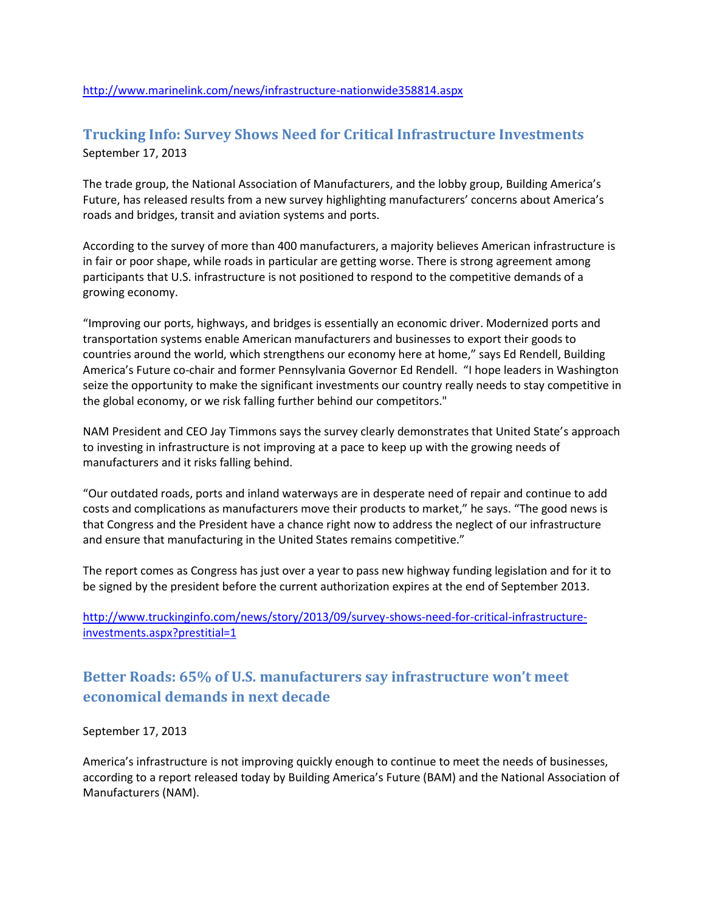## <span id="page-7-0"></span>**Trucking Info: Survey Shows Need for Critical Infrastructure Investments** September 17, 2013

The trade group, the National Association of Manufacturers, and the lobby group, Building America's Future, has released results from a new survey highlighting manufacturers' concerns about America's roads and bridges, transit and aviation systems and ports.

According to the survey of more than 400 manufacturers, a majority believes American infrastructure is in fair or poor shape, while roads in particular are getting worse. There is strong agreement among participants that U.S. infrastructure is not positioned to respond to the competitive demands of a growing economy.

"Improving our ports, highways, and bridges is essentially an economic driver. Modernized ports and transportation systems enable American manufacturers and businesses to export their goods to countries around the world, which strengthens our economy here at home," says Ed Rendell, Building America's Future co-chair and former Pennsylvania Governor Ed Rendell. "I hope leaders in Washington seize the opportunity to make the significant investments our country really needs to stay competitive in the global economy, or we risk falling further behind our competitors."

NAM President and CEO Jay Timmons says the survey clearly demonstrates that United State's approach to investing in infrastructure is not improving at a pace to keep up with the growing needs of manufacturers and it risks falling behind.

"Our outdated roads, ports and inland waterways are in desperate need of repair and continue to add costs and complications as manufacturers move their products to market," he says. "The good news is that Congress and the President have a chance right now to address the neglect of our infrastructure and ensure that manufacturing in the United States remains competitive."

The report comes as Congress has just over a year to pass new highway funding legislation and for it to be signed by the president before the current authorization expires at the end of September 2013.

[http://www.truckinginfo.com/news/story/2013/09/survey-shows-need-for-critical-infrastructure](http://www.truckinginfo.com/news/story/2013/09/survey-shows-need-for-critical-infrastructure-investments.aspx?prestitial=1)[investments.aspx?prestitial=1](http://www.truckinginfo.com/news/story/2013/09/survey-shows-need-for-critical-infrastructure-investments.aspx?prestitial=1)

## <span id="page-7-1"></span>**Better Roads: 65% of U.S. manufacturers say infrastructure won't meet economical demands in next decade**

September 17, 2013

America's infrastructure is not improving quickly enough to continue to meet the needs of businesses, according to a report released today by Building America's Future (BAM) and the National Association of Manufacturers (NAM).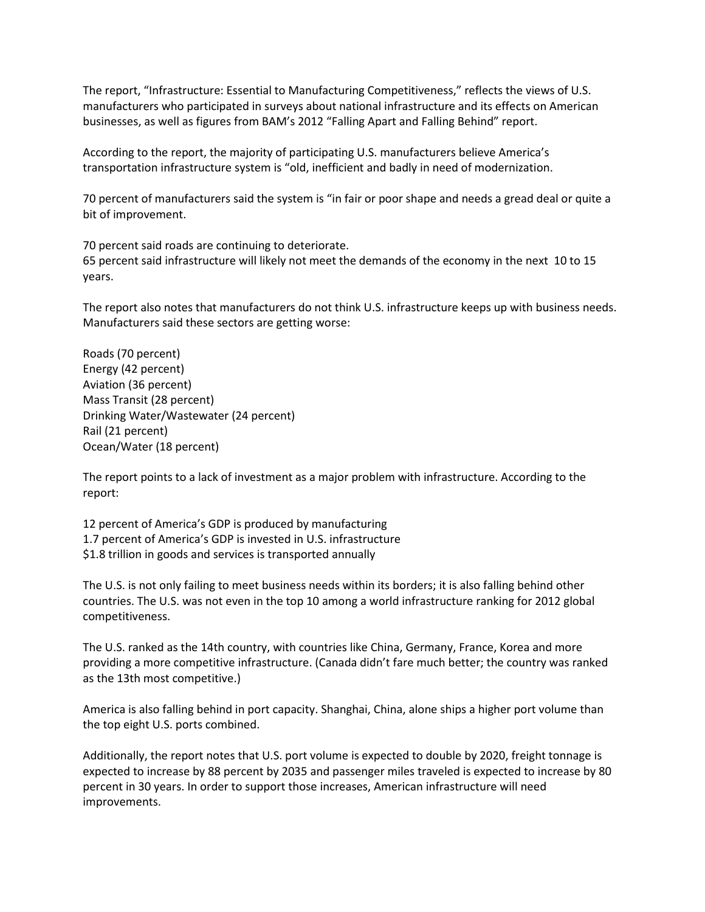The report, "Infrastructure: Essential to Manufacturing Competitiveness," reflects the views of U.S. manufacturers who participated in surveys about national infrastructure and its effects on American businesses, as well as figures from BAM's 2012 "Falling Apart and Falling Behind" report.

According to the report, the majority of participating U.S. manufacturers believe America's transportation infrastructure system is "old, inefficient and badly in need of modernization.

70 percent of manufacturers said the system is "in fair or poor shape and needs a gread deal or quite a bit of improvement.

70 percent said roads are continuing to deteriorate. 65 percent said infrastructure will likely not meet the demands of the economy in the next 10 to 15 years.

The report also notes that manufacturers do not think U.S. infrastructure keeps up with business needs. Manufacturers said these sectors are getting worse:

Roads (70 percent) Energy (42 percent) Aviation (36 percent) Mass Transit (28 percent) Drinking Water/Wastewater (24 percent) Rail (21 percent) Ocean/Water (18 percent)

The report points to a lack of investment as a major problem with infrastructure. According to the report:

12 percent of America's GDP is produced by manufacturing 1.7 percent of America's GDP is invested in U.S. infrastructure \$1.8 trillion in goods and services is transported annually

The U.S. is not only failing to meet business needs within its borders; it is also falling behind other countries. The U.S. was not even in the top 10 among a world infrastructure ranking for 2012 global competitiveness.

The U.S. ranked as the 14th country, with countries like China, Germany, France, Korea and more providing a more competitive infrastructure. (Canada didn't fare much better; the country was ranked as the 13th most competitive.)

America is also falling behind in port capacity. Shanghai, China, alone ships a higher port volume than the top eight U.S. ports combined.

Additionally, the report notes that U.S. port volume is expected to double by 2020, freight tonnage is expected to increase by 88 percent by 2035 and passenger miles traveled is expected to increase by 80 percent in 30 years. In order to support those increases, American infrastructure will need improvements.